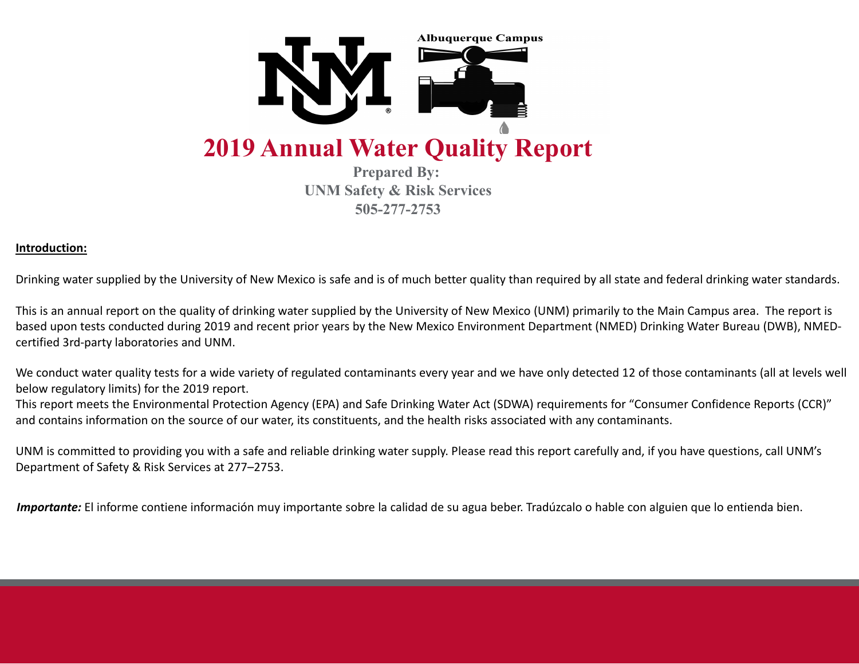

**Prepared By: UNM Safety & Risk Services 505-277-2753**

# **Introduction:**

Drinking water supplied by the University of New Mexico is safe and is of much better quality than required by all state and federal drinking water standards.

This is an annual report on the quality of drinking water supplied by the University of New Mexico (UNM) primarily to the Main Campus area. The report is based upon tests conducted during 2019 and recent prior years by the New Mexico Environment Department (NMED) Drinking Water Bureau (DWB), NMEDcertified 3rd-party laboratories and UNM.

We conduct water quality tests for a wide variety of regulated contaminants every year and we have only detected 12 of those contaminants (all at levels well below regulatory limits) for the 2019 report.

This report meets the Environmental Protection Agency (EPA) and Safe Drinking Water Act (SDWA) requirements for "Consumer Confidence Reports (CCR)" and contains information on the source of our water, its constituents, and the health risks associated with any contaminants.

UNM is committed to providing you with a safe and reliable drinking water supply. Please read this report carefully and, if you have questions, call UNM's Department of Safety & Risk Services at 277–2753.

*Importante:* El informe contiene información muy importante sobre la calidad de su agua beber. Tradúzcalo o hable con alguien que lo entienda bien.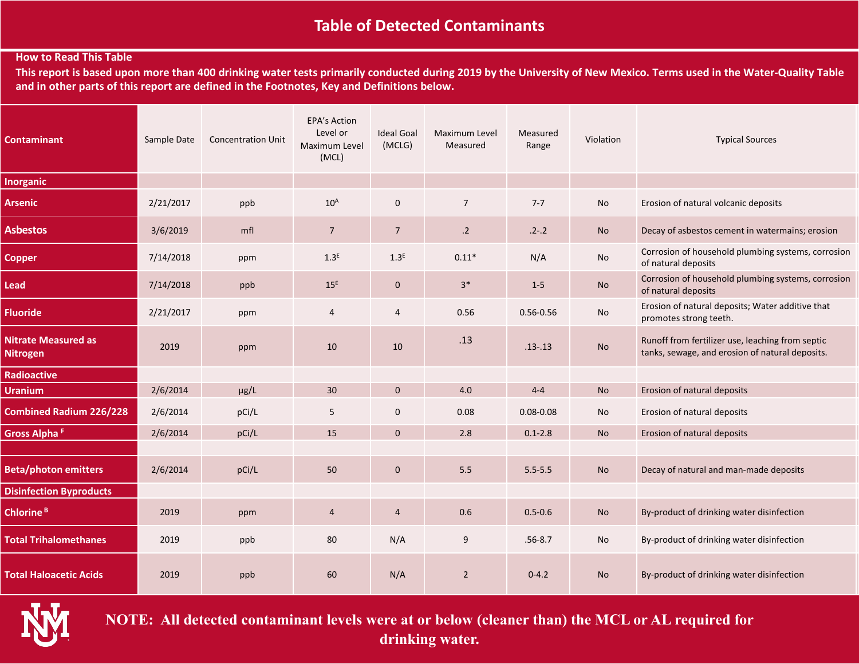# **Table of Detected Contaminants**

# **How to Read This Table**

**This report is based upon more than 400 drinking water tests primarily conducted during 2019 by the University of New Mexico. Terms used in the Water-Quality Table and in other parts of this report are defined in the Footnotes, Key and Definitions below.**

| <b>Contaminant</b>                            | Sample Date | <b>Concentration Unit</b> | <b>EPA's Action</b><br>Level or<br>Maximum Level<br>(MCL) | <b>Ideal Goal</b><br>(MCLG) | Maximum Level<br>Measured | Measured<br>Range | Violation | <b>Typical Sources</b>                                                                              |
|-----------------------------------------------|-------------|---------------------------|-----------------------------------------------------------|-----------------------------|---------------------------|-------------------|-----------|-----------------------------------------------------------------------------------------------------|
| <b>Inorganic</b>                              |             |                           |                                                           |                             |                           |                   |           |                                                                                                     |
| Arsenic                                       | 2/21/2017   | ppb                       | $10^A$                                                    | $\mathbf 0$                 | $\overline{7}$            | $7 - 7$           | No        | Erosion of natural volcanic deposits                                                                |
| <b>Asbestos</b>                               | 3/6/2019    | mfl                       | $\overline{7}$                                            | $\overline{7}$              | $.2\phantom{0}$           | $.2 - .2$         | No        | Decay of asbestos cement in watermains; erosion                                                     |
| <b>Copper</b>                                 | 7/14/2018   | ppm                       | 1.3 <sup>E</sup>                                          | 1.3 <sup>E</sup>            | $0.11*$                   | N/A               | No        | Corrosion of household plumbing systems, corrosion<br>of natural deposits                           |
| <b>Lead</b>                                   | 7/14/2018   | ppb                       | $15^E$                                                    | $\mathbf 0$                 | $3*$                      | $1 - 5$           | <b>No</b> | Corrosion of household plumbing systems, corrosion<br>of natural deposits                           |
| <b>Fluoride</b>                               | 2/21/2017   | ppm                       | 4                                                         | 4                           | 0.56                      | $0.56 - 0.56$     | No        | Erosion of natural deposits; Water additive that<br>promotes strong teeth.                          |
| <b>Nitrate Measured as</b><br><b>Nitrogen</b> | 2019        | ppm                       | 10                                                        | 10                          | .13                       | $.13 - .13$       | <b>No</b> | Runoff from fertilizer use, leaching from septic<br>tanks, sewage, and erosion of natural deposits. |
| <b>Radioactive</b>                            |             |                           |                                                           |                             |                           |                   |           |                                                                                                     |
| <b>Uranium</b>                                | 2/6/2014    | $\mu$ g/L                 | 30                                                        | $\mathbf 0$                 | 4.0                       | $4 - 4$           | No        | Erosion of natural deposits                                                                         |
| <b>Combined Radium 226/228</b>                | 2/6/2014    | pCi/L                     | 5                                                         | $\mathbf 0$                 | 0.08                      | $0.08 - 0.08$     | No        | Erosion of natural deposits                                                                         |
| Gross Alpha <sup>F</sup>                      | 2/6/2014    | pCi/L                     | 15                                                        | $\mathbf 0$                 | $2.8$                     | $0.1 - 2.8$       | No        | Erosion of natural deposits                                                                         |
| <b>Beta/photon emitters</b>                   | 2/6/2014    | pCi/L                     | 50                                                        | $\mathbf 0$                 | 5.5                       | $5.5 - 5.5$       | <b>No</b> | Decay of natural and man-made deposits                                                              |
| <b>Disinfection Byproducts</b>                |             |                           |                                                           |                             |                           |                   |           |                                                                                                     |
| Chlorine <sup>B</sup>                         | 2019        | ppm                       | $\overline{4}$                                            | $\overline{4}$              | 0.6                       | $0.5 - 0.6$       | <b>No</b> | By-product of drinking water disinfection                                                           |
| <b>Total Trihalomethanes</b>                  | 2019        | ppb                       | 80                                                        | N/A                         | 9                         | $.56 - 8.7$       | No        | By-product of drinking water disinfection                                                           |
| <b>Total Haloacetic Acids</b>                 | 2019        | ppb                       | 60                                                        | N/A                         | $\overline{2}$            | $0 - 4.2$         | <b>No</b> | By-product of drinking water disinfection                                                           |



**NOTE: All detected contaminant levels were at or below (cleaner than) the MCL or AL required for drinking water.**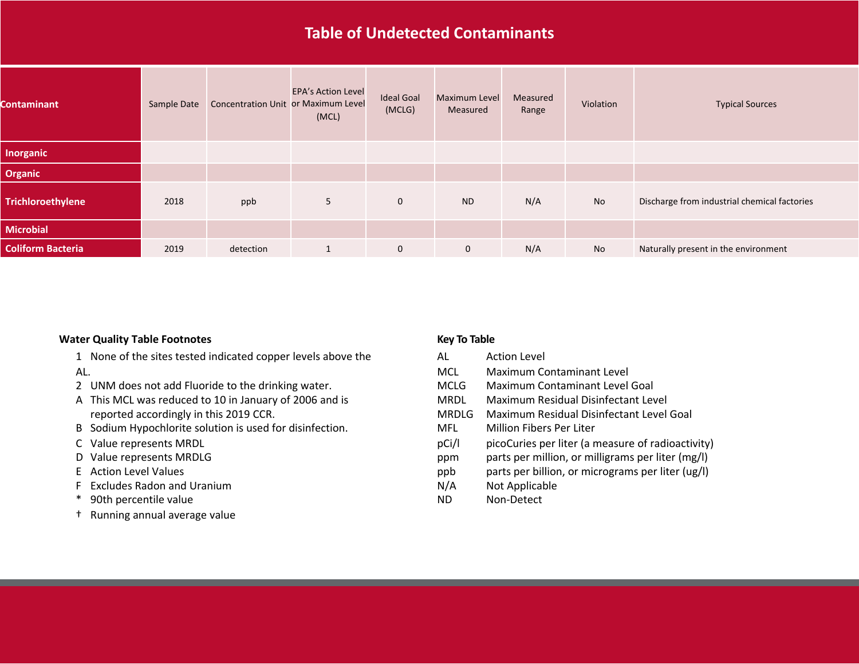# **Table of Undetected Contaminants**

| <b>Contaminant</b>       | Sample Date | Concentration Unit or Maximum Level | <b>EPA's Action Level</b><br>(MCL) | <b>Ideal Goal</b><br>(MCLG) | <b>Maximum Level</b><br>Measured | Measured<br>Range | Violation | <b>Typical Sources</b>                       |
|--------------------------|-------------|-------------------------------------|------------------------------------|-----------------------------|----------------------------------|-------------------|-----------|----------------------------------------------|
| <b>Inorganic</b>         |             |                                     |                                    |                             |                                  |                   |           |                                              |
| <b>Organic</b>           |             |                                     |                                    |                             |                                  |                   |           |                                              |
| Trichloroethylene        | 2018        | ppb                                 | 5                                  | $\mathbf 0$                 | <b>ND</b>                        | N/A               | No        | Discharge from industrial chemical factories |
| <b>Microbial</b>         |             |                                     |                                    |                             |                                  |                   |           |                                              |
| <b>Coliform Bacteria</b> | 2019        | detection                           |                                    | $\mathbf 0$                 | $\mathbf 0$                      | N/A               | No        | Naturally present in the environment         |

#### **Water Quality Table Footnotes <b>Key To Table Key To Table**

- 1 None of the sites tested indicated copper levels above the AL.
- 2 UNM does not add Fluoride to the drinking water.
- A This MCL was reduced to 10 in January of 2006 and is reported accordingly in this 2019 CCR.
- B Sodium Hypochlorite solution is used for disinfection.
- C Value represents MRDL
- D Value represents MRDLG
- E Action Level Values
- F Excludes Radon and Uranium
- \* 90th percentile value
- † Running annual average value

- AL Action Level
- MCL Maximum Contaminant Level
- MCLG Maximum Contaminant Level Goal
- MRDL Maximum Residual Disinfectant Level
- MRDLG Maximum Residual Disinfectant Level Goal
- MFL Million Fibers Per Liter
- pCi/l picoCuries per liter (a measure of radioactivity)
- ppm parts per million, or milligrams per liter (mg/l)
- ppb parts per billion, or micrograms per liter (ug/l)
- N/A Not Applicable
- ND Non-Detect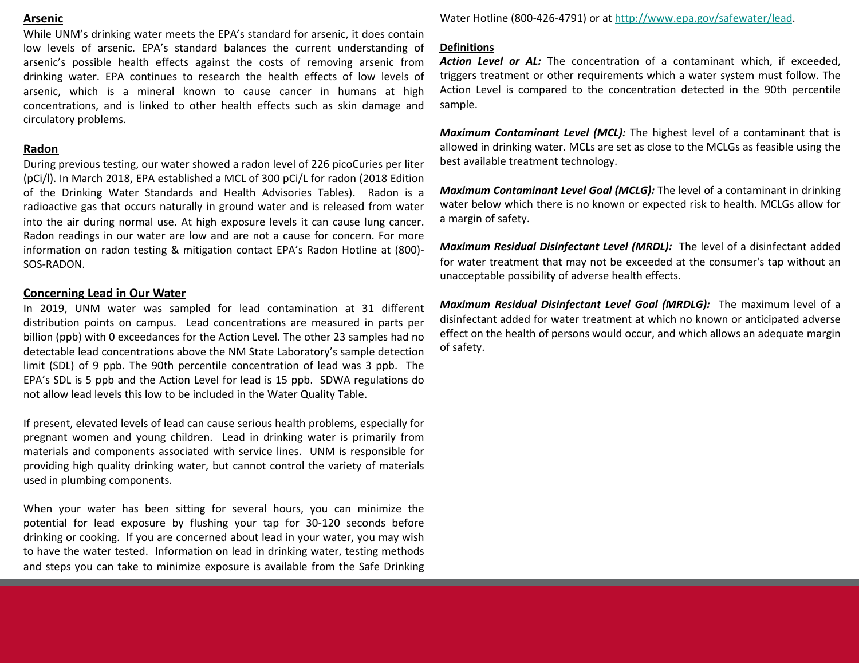## **Arsenic**

While UNM's drinking water meets the EPA's standard for arsenic, it does contain low levels of arsenic. EPA's standard balances the current understanding of arsenic's possible health effects against the costs of removing arsenic from drinking water. EPA continues to research the health effects of low levels of arsenic, which is a mineral known to cause cancer in humans at high concentrations, and is linked to other health effects such as skin damage and circulatory problems.

## **Radon**

During previous testing, our water showed a radon level of 226 picoCuries per liter (pCi/l). In March 2018, EPA established a MCL of 300 pCi/L for radon (2018 Edition of the Drinking Water Standards and Health Advisories Tables). Radon is a radioactive gas that occurs naturally in ground water and is released from water into the air during normal use. At high exposure levels it can cause lung cancer. Radon readings in our water are low and are not a cause for concern. For more information on radon testing & mitigation contact EPA's Radon Hotline at (800)- SOS-RADON.

## **Concerning Lead in Our Water**

In 2019, UNM water was sampled for lead contamination at 31 different distribution points on campus. Lead concentrations are measured in parts per billion (ppb) with 0 exceedances for the Action Level. The other 23 samples had no detectable lead concentrations above the NM State Laboratory's sample detection limit (SDL) of 9 ppb. The 90th percentile concentration of lead was 3 ppb. The EPA's SDL is 5 ppb and the Action Level for lead is 15 ppb. SDWA regulations do not allow lead levels this low to be included in the Water Quality Table.

If present, elevated levels of lead can cause serious health problems, especially for pregnant women and young children. Lead in drinking water is primarily from materials and components associated with service lines. UNM is responsible for providing high quality drinking water, but cannot control the variety of materials used in plumbing components.

When your water has been sitting for several hours, you can minimize the potential for lead exposure by flushing your tap for 30-120 seconds before drinking or cooking. If you are concerned about lead in your water, you may wish to have the water tested. Information on lead in drinking water, testing methods and steps you can take to minimize exposure is available from the Safe Drinking

Water Hotline (800-426-4791) or at http://ww

## **Definitions**

Action Level or AL: The concentration of a triggers treatment or other requirements whi Action Level is compared to the concentrati sample.

*Maximum Contaminant Level (MCL):* The highest allowed in drinking water. MCLs are set as clos best available treatment technology.

*Maximum Contaminant Level Goal (MCLG):* The level of a contaminant in MCLG): water below which there is no known or expe a margin of safety.

**Maximum Residual Disinfectant Level (MRDI** for water treatment that may not be exceeded unacceptable possibility of adverse health effe

*Maximum Residual Disinfectant Level Goal* disinfectant added for water treatment at wh effect on the health of persons would occur, and  $\epsilon$ of safety.